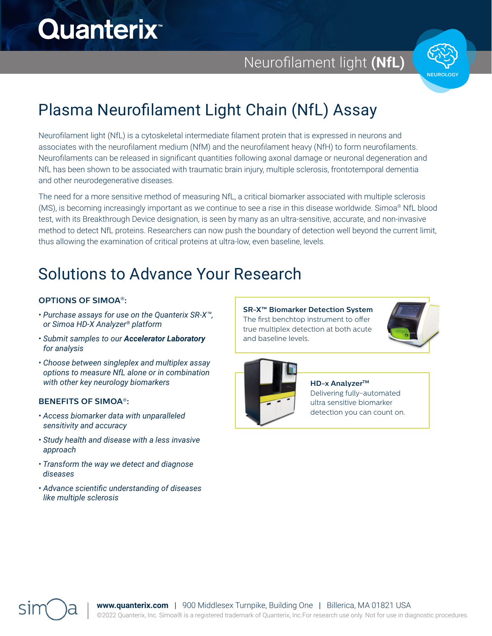# **Quanterix**<sup>\*</sup>

Neurofilament light **(NfL)** similar for single-please and multipless and multiples are in the please and yields  $\mathbf{v}_i$ 

very similar assay sensitivities.



#### Plasma Neurofilament Light Chain (NfL) Assay ht Chain (NfL) Assay biomarkers that other technologies can't. In addition,

Neurofilament light (NfL) is a cytoskeletal intermediate filament protein that is expressed in neurons and associates with the neurofilament medium (NfM) and the neurofilament heavy (NfH) to form neurofilaments. depended with the neuronal neuron mediam (with) and the neuronal neuron recay, (with) to form neuronal degeneration and Neurofilaments can be released in significant quantities following axonal damage or neuronal degenerat NfL has been shown to be associated with traumatic brain injury, multiple sclerosis, frontotemporal dementia and other neurodegenerative diseases.  $\alpha$  anterix doesn't have assays allow researchers to minimize assays allow researchers to minimize assays all ived onlaments can be released in significant quantities following axonal darnage or neuronal degeneration a  $\epsilon$  marrierit protein that is expressed in neurons and

The need for a more sensitive method of measuring NfL, a critical biomarker associated with multiple sclerosis (MS), is becoming increasingly important as we continue to see a rise in this disease worldwide. Simoa® NfL blood test, with its Breakthrough Device designation, is seen by many as an ultra-sensitive, accurate, and non-invasive<br>. method to detect NfL proteins. Researchers can now push the boundary of detection well beyond the current limit, thus allowing the examination of critical proteins at ultra-low, even baseline, levels. The need for a more sensitive method of measuring NfL, a critical biomarker associated with multiple scle polycloped antibodies as well. Simoa assays have a strong assays have a strong assays have a strong strong ass by many as an unital schsitive, accurate, and non-invasive

#### Solutions to Advance Your Research Solutions to Advance

### **OPTIONS OF SIMOA®:**

- *Purchase assays for use on the Quanterix SR-X™,*  or Simoa HD-X Analyzer® platform **Question:** Will my existing assay work on the Simoa  $\cdot$  Purchase as
- $\cdot$  Submit samples to our **Accelerator Laboratory** *for analysis* using all  $\alpha$  and  $\alpha$  and  $\alpha$  pairs are already pairs and  $\alpha$
- $\cdot$  Choose between singleplex and multiplex assay *options to measure NfL alone or in combination* with other key neurology biomarkers

#### **BENEFITS OF SIMOA®:**

- *Access biomarker data with unparalleled sensitivity and accuracy*
- *Study health and disease with a less invasive approach*
- $\boldsymbol{\cdot}$  Transform the way we detect and diagnose *diseases*
- *Advance scientific understanding of diseases*  Quanterix Corporation like multiple sclerosis

**SR-X™ Biomarker Detection System** The first benchtop instrument to offer The first benchtop instrument to offer true multiplex detection at both acute true multiplex detection at both acute and baseline levels. and baseline levels.





**The Simoa HD-X Analyzer™: HD-x AnalyzerTM** Delivering fully-automated ultra sensitive biomarker detection you can count on.